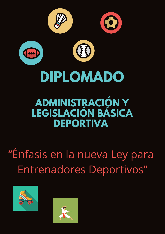# **DIPLOMADO**









# **ADMINISTRACIÓN Y LEGISLACIÓN BÁSICA DEPORTIVA**

# "Énfasis en la nueva Ley para Entrenadores Deportivos"



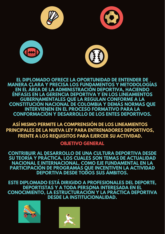







#### **EL DIPLOMADO OFRECE LA OPORTUNIDAD DE ENTENDER DE MANERA CLARA Y PRECISA LOS FUNDAMENTOS Y METODOLOGÍAS EN EL ÁREA DE LA ADMINISTRACIÓN DEPORTIVA, HACIENDO ÉNFASIS EN LA GERENCIA DEPORTIVA Y EN LOS LINEAMIENTOS GUBERNAMENTALES QUE LA REGULAN CONFORME A LA CONSTITUCIÓN NACIONAL DE COLOMBIA Y DEMÁS NORMAS QUE INTERVIENEN EN EL PROCESO FORMATIVO PARA LA CONFORMACIÓN Y DESARROLLO DE LOS ENTES DEPORTIVOS.**

**CONTRIBUIR AL DESARROLLO DE UNA CULTURA DEPORTIVA DESDE SU TEORÍA Y PRÁCTICA, LOS CUALES SON TEMAS DE ACTUALIDAD NACIONAL E INTERNACIONAL, COMO EJE FUNDAMENTAL EN LA PARTICIPACIÓN DE PROGRAMAS QUE INCENTIVEN LA ACTIVIDAD DEPORTIVA DESDE TODOS SUS ÁMBITOS.**

**OBJETIVO GENERAL ASÍ MISMO PERMITE LA COMPRENSIÓN DE LOS LINEAMIENTOS PRINCIPALES DE LA NUEVA LEY PARA ENTRENADORES DEPORTIVOS, FRENTE A LOS REQUISITOS PARA EJERCER SU ACTIVIDAD.**

**ESTE DIPLOMADO ESTÁ DIRIGIDO A PROFESIONALES DEL DEPORTE, DEPORTISTAS Y A TODA PERSONA INTERESADA EN EL CONOCIMIENTO, LA ESTRUCTURACIÓN Y LA PRÁCTICA DEPORTIVA DESDE LA INSTITUCIONALIDAD.**



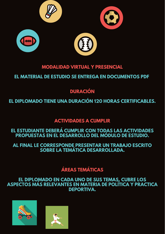

# **MODALIDAD VIRTUAL Y PRESENCIAL**

# **EL MATERIAL DE ESTUDIO SE ENTREGA EN DOCUMENTOS PDF**

# **DURACIÓN**

**EL DIPLOMADO TIENE UNA DURACIÓN 120 HORAS CERTIFICABLES.**

# **ACTIVIDADES A CUMPLIR**

### **EL ESTUDIANTE DEBERÁ CUMPLIR CON TODAS LAS ACTIVIDADES PROPUESTAS EN EL DESARROLLO DEL MÓDULO DE ESTUDIO.**

### **AL FINAL LE CORRESPONDE PRESENTAR UN TRABAJO ESCRITO SOBRE LA TEMÁTICA DESARROLLADA.**

# **ÁREAS TEMÁTICAS**

#### **EL DIPLOMADO EN CADA UNO DE SUS TEMAS, CUBRE LOS ASPECTOS MÁS RELEVANTES EN MATERIA DE POLÍTICA Y PRACTICA DEPORTIVA.**

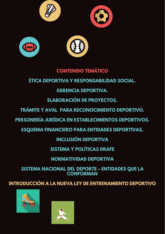

# **CONTENIDO TEMÁTICO**

# **ÉTICA DEPORTIVA Y RESPONSABILIDAD SOCIAL.**

# **GERENCIA DEPORTIVA.**

# **ELABORACIÓN DE PROYECTOS.**

**TRÁMITE Y AVAL PARA RECONOCIMIENTO DEPORTIVO.**

**PERSONERÍA JURÍDICA EN ESTABLECIMIENTOS DEPORTIVOS.**

**ESQUEMA FINANCIERO PARA ENTIDADES DEPORTIVAS. INCLUSIÓN DEPORTIVA SISTEMA Y POLÍTICAS DRAFE NORMATIVIDAD DEPORTIVA**

#### **SISTEMA NACIONAL DEL DEPORTE – ENTIDADES QUE LA CONFORMAN**

**INTRODUCCIÓN A LA NUEVA LEY DE ENTRENAMIENTO DEPORTIVO**